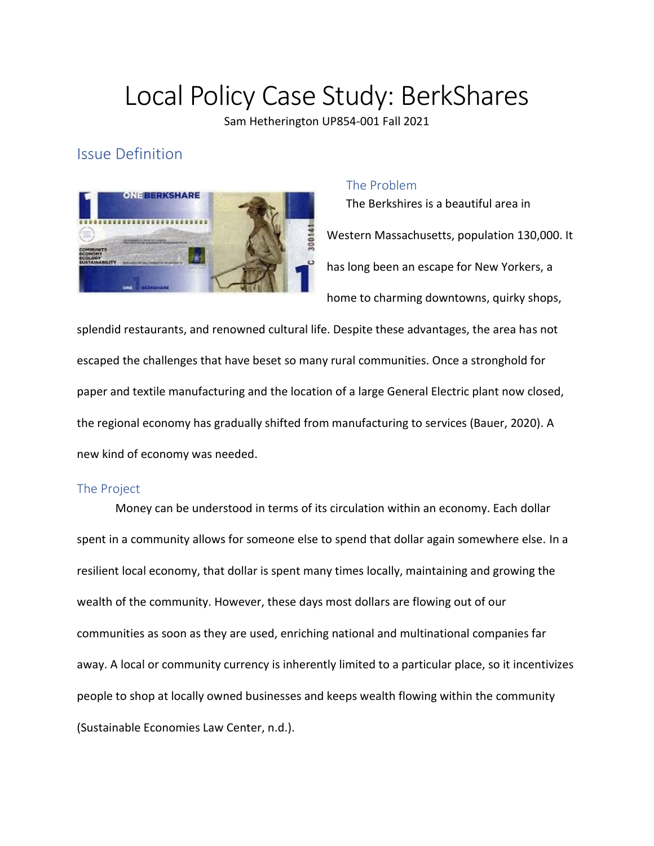# Local Policy Case Study: BerkShares

Sam Hetherington UP854-001 Fall 2021

## Issue Definition



#### The Problem

The Berkshires is a beautiful area in Western Massachusetts, population 130,000. It has long been an escape for New Yorkers, a home to charming downtowns, quirky shops,

splendid restaurants, and renowned cultural life. Despite these advantages, the area has not escaped the challenges that have beset so many rural communities. Once a stronghold for paper and textile manufacturing and the location of a large General Electric plant now closed, the regional economy has gradually shifted from manufacturing to services (Bauer, 2020). A new kind of economy was needed.

#### The Project

Money can be understood in terms of its circulation within an economy. Each dollar spent in a community allows for someone else to spend that dollar again somewhere else. In a resilient local economy, that dollar is spent many times locally, maintaining and growing the wealth of the community. However, these days most dollars are flowing out of our communities as soon as they are used, enriching national and multinational companies far away. A local or community currency is inherently limited to a particular place, so it incentivizes people to shop at locally owned businesses and keeps wealth flowing within the community (Sustainable Economies Law Center, n.d.).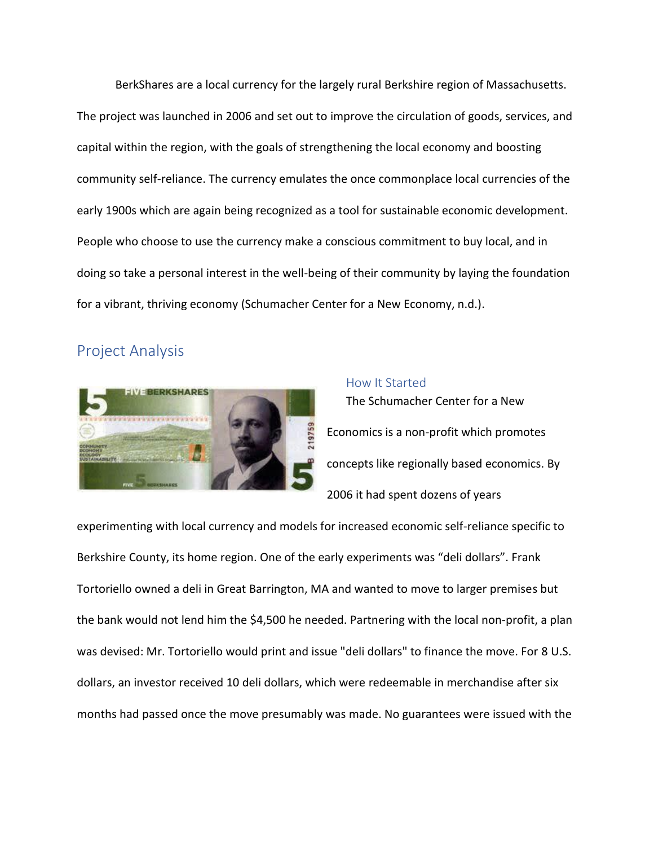BerkShares are a local currency for the largely rural Berkshire region of Massachusetts. The project was launched in 2006 and set out to improve the circulation of goods, services, and capital within the region, with the goals of strengthening the local economy and boosting community self-reliance. The currency emulates the once commonplace local currencies of the early 1900s which are again being recognized as a tool for sustainable economic development. People who choose to use the currency make a conscious commitment to buy local, and in doing so take a personal interest in the well-being of their community by laying the foundation for a vibrant, thriving economy (Schumacher Center for a New Economy, n.d.).

### Project Analysis



## How It Started The Schumacher Center for a New Economics is a non-profit which promotes concepts like regionally based economics. By 2006 it had spent dozens of years

experimenting with local currency and models for increased economic self-reliance specific to Berkshire County, its home region. One of the early experiments was "deli dollars". Frank Tortoriello owned a deli in Great Barrington, MA and wanted to move to larger premises but the bank would not lend him the \$4,500 he needed. Partnering with the local non-profit, a plan was devised: Mr. Tortoriello would print and issue "deli dollars" to finance the move. For 8 U.S. dollars, an investor received 10 deli dollars, which were redeemable in merchandise after six months had passed once the move presumably was made. No guarantees were issued with the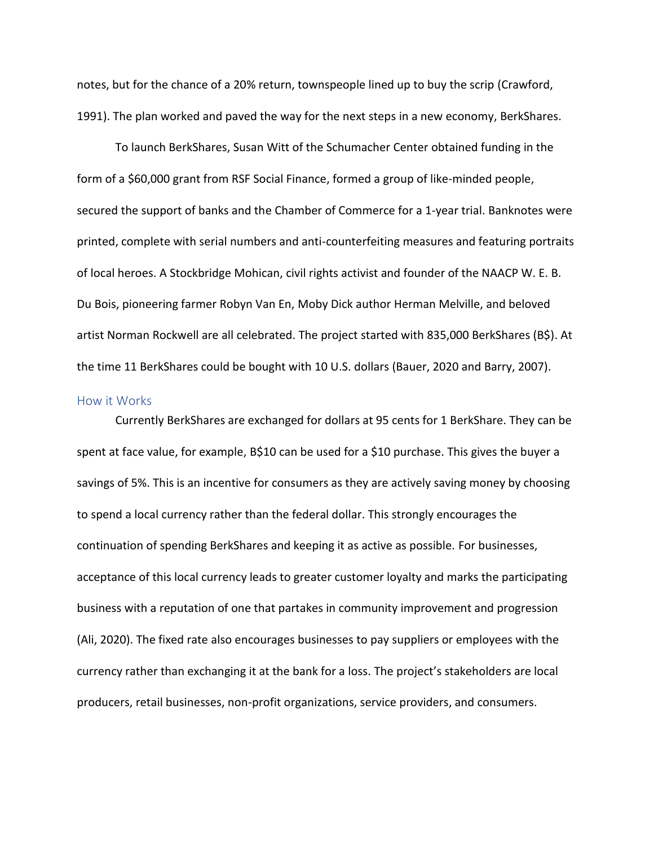notes, but for the chance of a 20% return, townspeople lined up to buy the scrip (Crawford, 1991). The plan worked and paved the way for the next steps in a new economy, BerkShares.

To launch BerkShares, Susan Witt of the Schumacher Center obtained funding in the form of a \$60,000 grant from RSF Social Finance, formed a group of like-minded people, secured the support of banks and the Chamber of Commerce for a 1-year trial. Banknotes were printed, complete with serial numbers and anti-counterfeiting measures and featuring portraits of local heroes. A Stockbridge Mohican, civil rights activist and founder of the NAACP W. E. B. Du Bois, pioneering farmer Robyn Van En, Moby Dick author Herman Melville, and beloved artist Norman Rockwell are all celebrated. The project started with 835,000 BerkShares (B\$). At the time 11 BerkShares could be bought with 10 U.S. dollars (Bauer, 2020 and Barry, 2007).

#### How it Works

Currently BerkShares are exchanged for dollars at 95 cents for 1 BerkShare. They can be spent at face value, for example, B\$10 can be used for a \$10 purchase. This gives the buyer a savings of 5%. This is an incentive for consumers as they are actively saving money by choosing to spend a local currency rather than the federal dollar. This strongly encourages the continuation of spending BerkShares and keeping it as active as possible. For businesses, acceptance of this local currency leads to greater customer loyalty and marks the participating business with a reputation of one that partakes in community improvement and progression (Ali, 2020). The fixed rate also encourages businesses to pay suppliers or employees with the currency rather than exchanging it at the bank for a loss. The project's stakeholders are local producers, retail businesses, non-profit organizations, service providers, and consumers.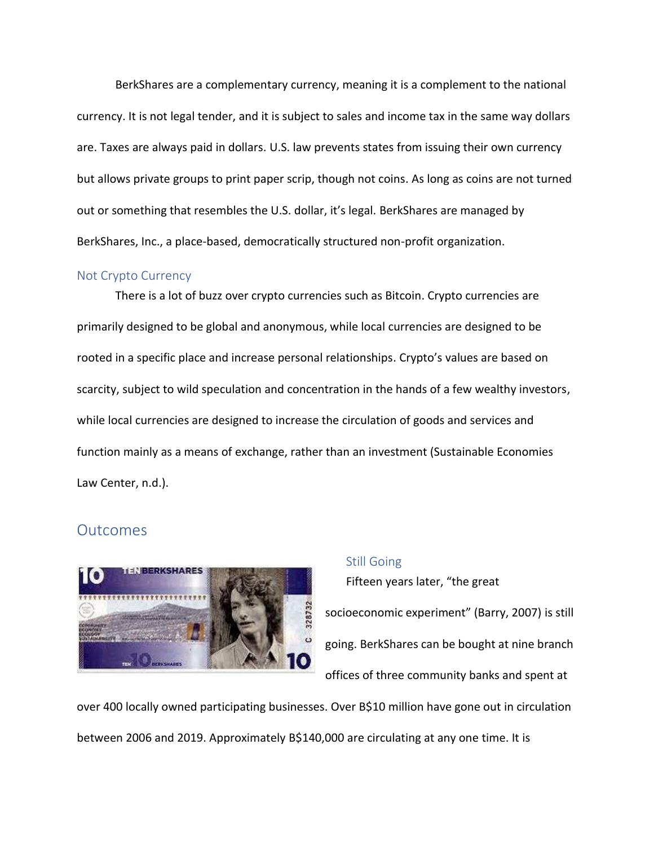BerkShares are a complementary currency, meaning it is a complement to the national currency. It is not legal tender, and it is subject to sales and income tax in the same way dollars are. Taxes are always paid in dollars. U.S. law prevents states from issuing their own currency but allows private groups to print paper scrip, though not coins. As long as coins are not turned out or something that resembles the U.S. dollar, it's legal. BerkShares are managed by BerkShares, Inc., a place-based, democratically structured non-profit organization.

#### Not Crypto Currency

There is a lot of buzz over crypto currencies such as Bitcoin. Crypto currencies are primarily designed to be global and anonymous, while local currencies are designed to be rooted in a specific place and increase personal relationships. Crypto's values are based on scarcity, subject to wild speculation and concentration in the hands of a few wealthy investors, while local currencies are designed to increase the circulation of goods and services and function mainly as a means of exchange, rather than an investment (Sustainable Economies Law Center, n.d.).

#### **Outcomes**



#### Still Going

Fifteen years later, "the great socioeconomic experiment" (Barry, 2007) is still going. BerkShares can be bought at nine branch offices of three community banks and spent at

over 400 locally owned participating businesses. Over B\$10 million have gone out in circulation between 2006 and 2019. Approximately B\$140,000 are circulating at any one time. It is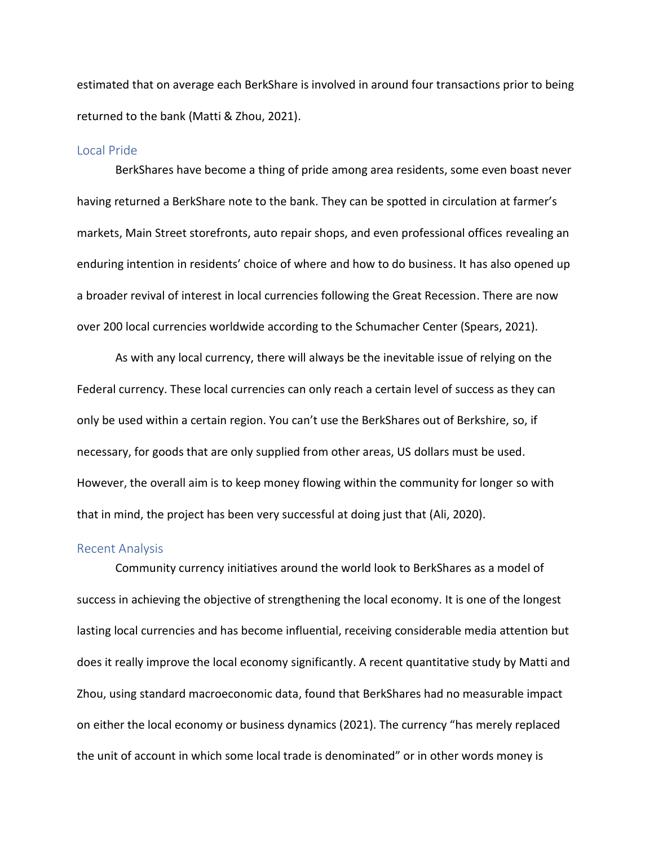estimated that on average each BerkShare is involved in around four transactions prior to being returned to the bank (Matti & Zhou, 2021).

#### Local Pride

BerkShares have become a thing of pride among area residents, some even boast never having returned a BerkShare note to the bank. They can be spotted in circulation at farmer's markets, Main Street storefronts, auto repair shops, and even professional offices revealing an enduring intention in residents' choice of where and how to do business. It has also opened up a broader revival of interest in local currencies following the Great Recession. There are now over 200 local currencies worldwide according to the Schumacher Center (Spears, 2021).

As with any local currency, there will always be the inevitable issue of relying on the Federal currency. These local currencies can only reach a certain level of success as they can only be used within a certain region. You can't use the BerkShares out of Berkshire, so, if necessary, for goods that are only supplied from other areas, US dollars must be used. However, the overall aim is to keep money flowing within the community for longer so with that in mind, the project has been very successful at doing just that (Ali, 2020).

#### Recent Analysis

Community currency initiatives around the world look to BerkShares as a model of success in achieving the objective of strengthening the local economy. It is one of the longest lasting local currencies and has become influential, receiving considerable media attention but does it really improve the local economy significantly. A recent quantitative study by Matti and Zhou, using standard macroeconomic data, found that BerkShares had no measurable impact on either the local economy or business dynamics (2021). The currency "has merely replaced the unit of account in which some local trade is denominated" or in other words money is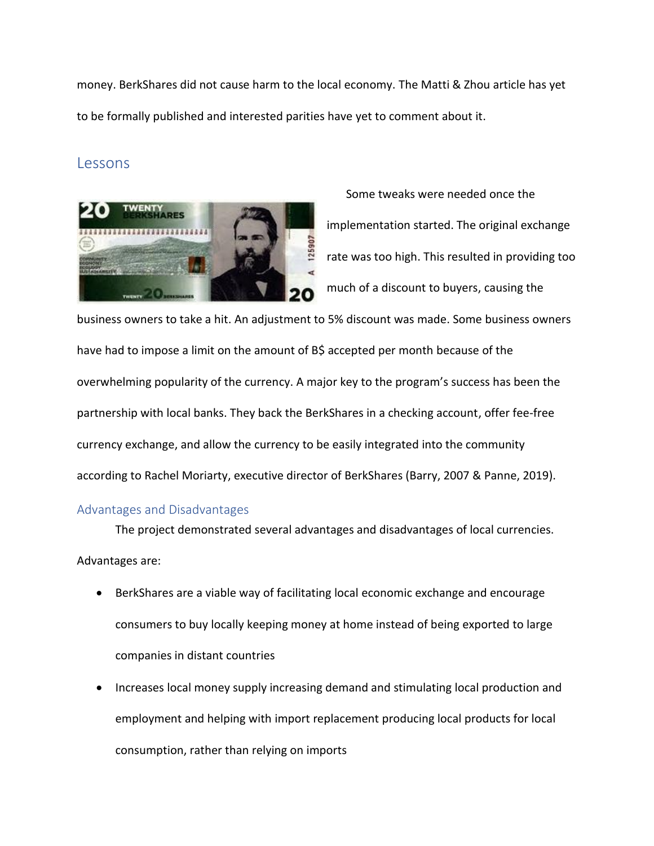money. BerkShares did not cause harm to the local economy. The Matti & Zhou article has yet to be formally published and interested parities have yet to comment about it.

#### Lessons



Some tweaks were needed once the implementation started. The original exchange rate was too high. This resulted in providing too much of a discount to buyers, causing the

business owners to take a hit. An adjustment to 5% discount was made. Some business owners have had to impose a limit on the amount of B\$ accepted per month because of the overwhelming popularity of the currency. A major key to the program's success has been the partnership with local banks. They back the BerkShares in a checking account, offer fee-free currency exchange, and allow the currency to be easily integrated into the community according to Rachel Moriarty, executive director of BerkShares (Barry, 2007 & Panne, 2019).

#### Advantages and Disadvantages

The project demonstrated several advantages and disadvantages of local currencies. Advantages are:

- BerkShares are a viable way of facilitating local economic exchange and encourage consumers to buy locally keeping money at home instead of being exported to large companies in distant countries
- Increases local money supply increasing demand and stimulating local production and employment and helping with import replacement producing local products for local consumption, rather than relying on imports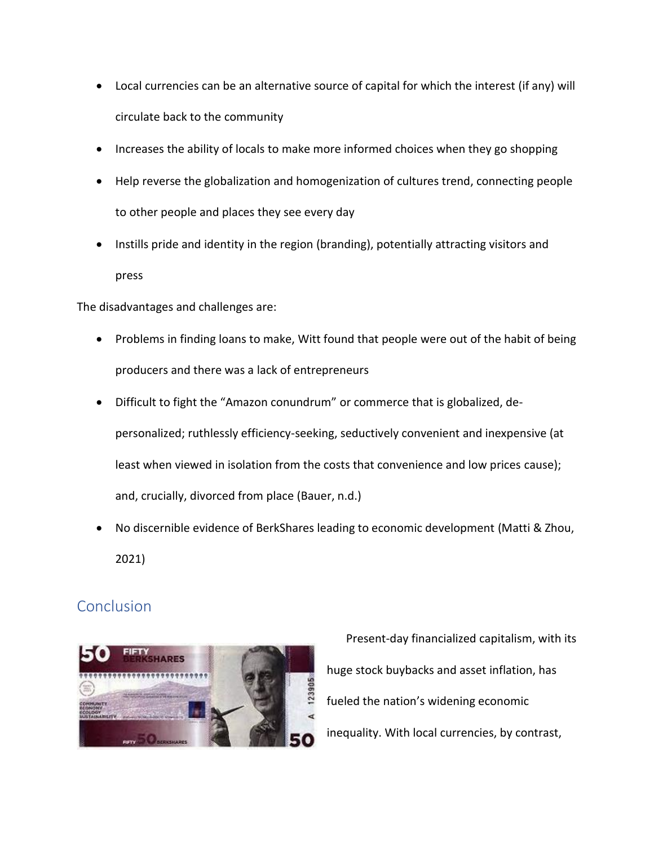- Local currencies can be an alternative source of capital for which the interest (if any) will circulate back to the community
- Increases the ability of locals to make more informed choices when they go shopping
- Help reverse the globalization and homogenization of cultures trend, connecting people to other people and places they see every day
- Instills pride and identity in the region (branding), potentially attracting visitors and press

The disadvantages and challenges are:

- Problems in finding loans to make, Witt found that people were out of the habit of being producers and there was a lack of entrepreneurs
- Difficult to fight the "Amazon conundrum" or commerce that is globalized, depersonalized; ruthlessly efficiency-seeking, seductively convenient and inexpensive (at least when viewed in isolation from the costs that convenience and low prices cause); and, crucially, divorced from place (Bauer, n.d.)
- No discernible evidence of BerkShares leading to economic development (Matti & Zhou, 2021)

## Conclusion



Present-day financialized capitalism, with its huge stock buybacks and asset inflation, has fueled the nation's widening economic inequality. With local currencies, by contrast,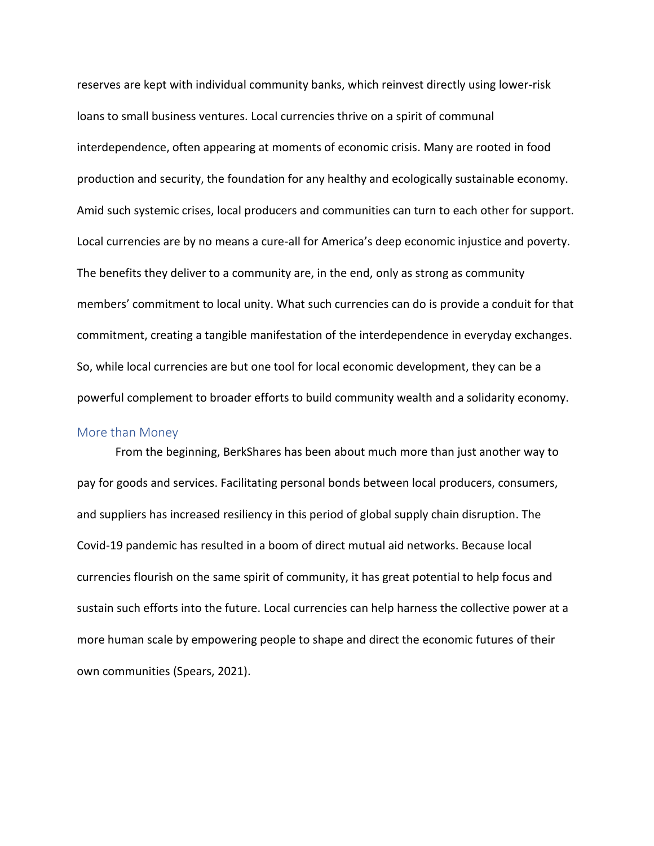reserves are kept with individual community banks, which reinvest directly using lower-risk loans to small business ventures. Local currencies thrive on a spirit of communal interdependence, often appearing at moments of economic crisis. Many are rooted in food production and security, the foundation for any healthy and ecologically sustainable economy. Amid such systemic crises, local producers and communities can turn to each other for support. Local currencies are by no means a cure-all for America's deep economic injustice and poverty. The benefits they deliver to a community are, in the end, only as strong as community members' commitment to local unity. What such currencies can do is provide a conduit for that commitment, creating a tangible manifestation of the interdependence in everyday exchanges. So, while local currencies are but one tool for local economic development, they can be a powerful complement to broader efforts to build community wealth and a solidarity economy.

#### More than Money

From the beginning, BerkShares has been about much more than just another way to pay for goods and services. Facilitating personal bonds between local producers, consumers, and suppliers has increased resiliency in this period of global supply chain disruption. The Covid-19 pandemic has resulted in a boom of direct mutual aid networks. Because local currencies flourish on the same spirit of community, it has great potential to help focus and sustain such efforts into the future. Local currencies can help harness the collective power at a more human scale by empowering people to shape and direct the economic futures of their own communities (Spears, 2021).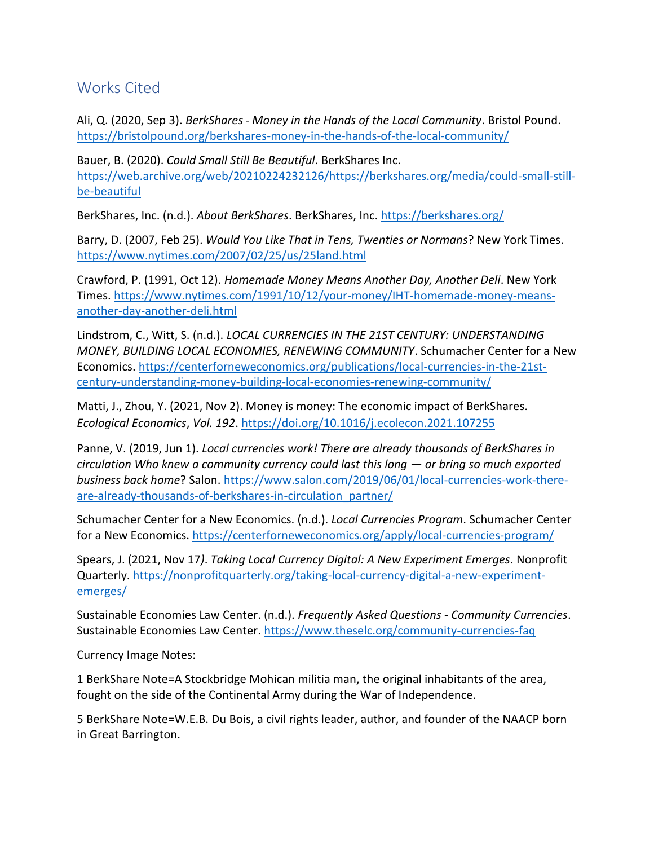## Works Cited

Ali, Q. (2020, Sep 3). *BerkShares - Money in the Hands of the Local Community*. Bristol Pound. <https://bristolpound.org/berkshares-money-in-the-hands-of-the-local-community/>

Bauer, B. (2020). *Could Small Still Be Beautiful*. BerkShares Inc. [https://web.archive.org/web/20210224232126/https://berkshares.org/media/could-small-still](https://web.archive.org/web/20210224232126/https:/berkshares.org/media/could-small-still-be-beautiful)[be-beautiful](https://web.archive.org/web/20210224232126/https:/berkshares.org/media/could-small-still-be-beautiful)

BerkShares, Inc. (n.d.). *About BerkShares*. BerkShares, Inc. <https://berkshares.org/>

Barry, D. (2007, Feb 25). *Would You Like That in Tens, Twenties or Normans*? New York Times. <https://www.nytimes.com/2007/02/25/us/25land.html>

Crawford, P. (1991, Oct 12). *Homemade Money Means Another Day, Another Deli*. New York Times. [https://www.nytimes.com/1991/10/12/your-money/IHT-homemade-money-means](https://www.nytimes.com/1991/10/12/your-money/IHT-homemade-money-means-another-day-another-deli.html)[another-day-another-deli.html](https://www.nytimes.com/1991/10/12/your-money/IHT-homemade-money-means-another-day-another-deli.html)

Lindstrom, C., Witt, S. (n.d.). *LOCAL CURRENCIES IN THE 21ST CENTURY: UNDERSTANDING MONEY, BUILDING LOCAL ECONOMIES, RENEWING COMMUNITY*. Schumacher Center for a New Economics[. https://centerforneweconomics.org/publications/local-currencies-in-the-21st](https://centerforneweconomics.org/publications/local-currencies-in-the-21st-century-understanding-money-building-local-economies-renewing-community/)[century-understanding-money-building-local-economies-renewing-community/](https://centerforneweconomics.org/publications/local-currencies-in-the-21st-century-understanding-money-building-local-economies-renewing-community/)

Matti, J., Zhou, Y. (2021, Nov 2). Money is money: The economic impact of BerkShares. *Ecological Economics*, *Vol. 192*.<https://doi.org/10.1016/j.ecolecon.2021.107255>

Panne, V. (2019, Jun 1). *Local currencies work! There are already thousands of BerkShares in circulation Who knew a community currency could last this long — or bring so much exported business back home*? Salon. [https://www.salon.com/2019/06/01/local-currencies-work-there](https://www.salon.com/2019/06/01/local-currencies-work-there-are-already-thousands-of-berkshares-in-circulation_partner/)[are-already-thousands-of-berkshares-in-circulation\\_partner/](https://www.salon.com/2019/06/01/local-currencies-work-there-are-already-thousands-of-berkshares-in-circulation_partner/)

Schumacher Center for a New Economics. (n.d.). *Local Currencies Program*. Schumacher Center for a New Economics.<https://centerforneweconomics.org/apply/local-currencies-program/>

Spears, J. (2021, Nov 17*)*. *Taking Local Currency Digital: A New Experiment Emerges*. Nonprofit Quarterly. [https://nonprofitquarterly.org/taking-local-currency-digital-a-new-experiment](https://nonprofitquarterly.org/taking-local-currency-digital-a-new-experiment-emerges/)[emerges/](https://nonprofitquarterly.org/taking-local-currency-digital-a-new-experiment-emerges/)

Sustainable Economies Law Center. (n.d.). *Frequently Asked Questions - Community Currencies*. Sustainable Economies Law Center.<https://www.theselc.org/community-currencies-faq>

Currency Image Notes:

1 BerkShare Note=A Stockbridge Mohican militia man, the original inhabitants of the area, fought on the side of the Continental Army during the War of Independence.

5 BerkShare Note=W.E.B. Du Bois, a civil rights leader, author, and founder of the NAACP born in Great Barrington.